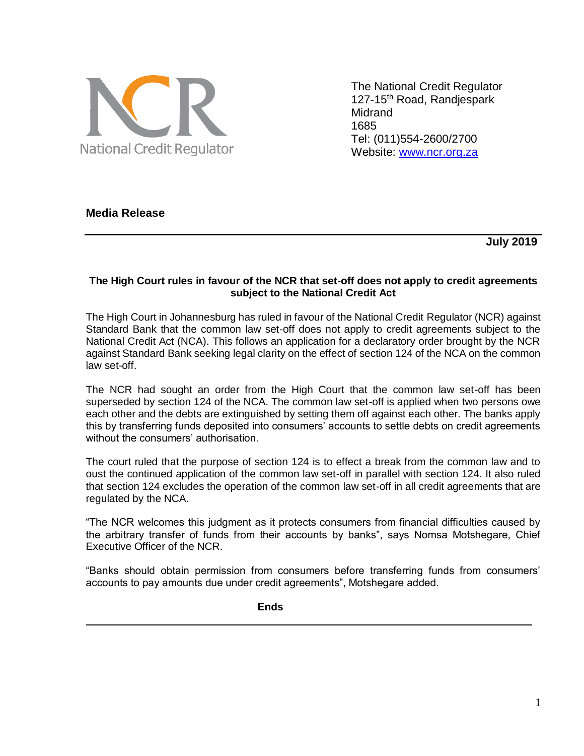

The National Credit Regulator 127-15<sup>th</sup> Road, Randjespark **Midrand** 1685 Tel: (011)554-2600/2700 Website: [www.ncr.org.za](http://www.ncr.org.za/)

## **Media Release**

 **July 2019** 

## **The High Court rules in favour of the NCR that set-off does not apply to credit agreements subject to the National Credit Act**

The High Court in Johannesburg has ruled in favour of the National Credit Regulator (NCR) against Standard Bank that the common law set-off does not apply to credit agreements subject to the National Credit Act (NCA). This follows an application for a declaratory order brought by the NCR against Standard Bank seeking legal clarity on the effect of section 124 of the NCA on the common law set-off.

The NCR had sought an order from the High Court that the common law set-off has been superseded by section 124 of the NCA. The common law set-off is applied when two persons owe each other and the debts are extinguished by setting them off against each other. The banks apply this by transferring funds deposited into consumers' accounts to settle debts on credit agreements without the consumers' authorisation.

The court ruled that the purpose of section 124 is to effect a break from the common law and to oust the continued application of the common law set-off in parallel with section 124. It also ruled that section 124 excludes the operation of the common law set-off in all credit agreements that are regulated by the NCA.

"The NCR welcomes this judgment as it protects consumers from financial difficulties caused by the arbitrary transfer of funds from their accounts by banks", says Nomsa Motshegare, Chief Executive Officer of the NCR.

"Banks should obtain permission from consumers before transferring funds from consumers' accounts to pay amounts due under credit agreements", Motshegare added.

**Ends**